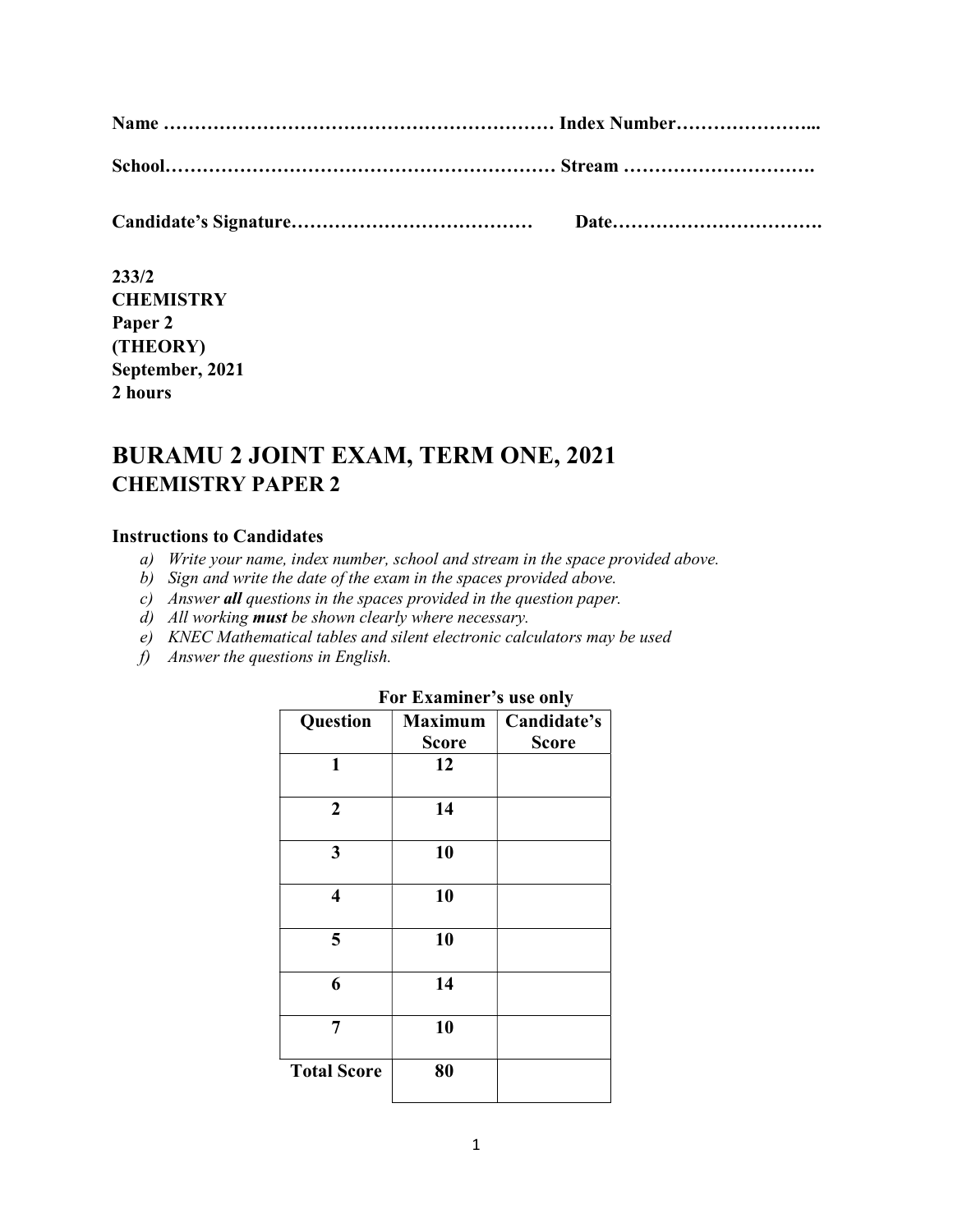233/2 **CHEMISTRY** Paper 2 (THEORY) September, 2021 2 hours

# BURAMU 2 JOINT EXAM, TERM ONE, 2021 CHEMISTRY PAPER 2

## Instructions to Candidates

- a) Write your name, index number, school and stream in the space provided above.
- b) Sign and write the date of the exam in the spaces provided above.
- c) Answer all questions in the spaces provided in the question paper.
- d) All working **must** be shown clearly where necessary.
- e) KNEC Mathematical tables and silent electronic calculators may be used
- f) Answer the questions in English.

| Question                | <b>Maximum</b> | ັ<br>Candidate's |
|-------------------------|----------------|------------------|
|                         | <b>Score</b>   | <b>Score</b>     |
| 1                       | 12             |                  |
| $\overline{2}$          | 14             |                  |
| 3                       | 10             |                  |
| $\overline{\mathbf{4}}$ | 10             |                  |
| 5                       | 10             |                  |
| 6                       | 14             |                  |
| 7                       | 10             |                  |
| <b>Total Score</b>      | 80             |                  |

#### For Examiner's use only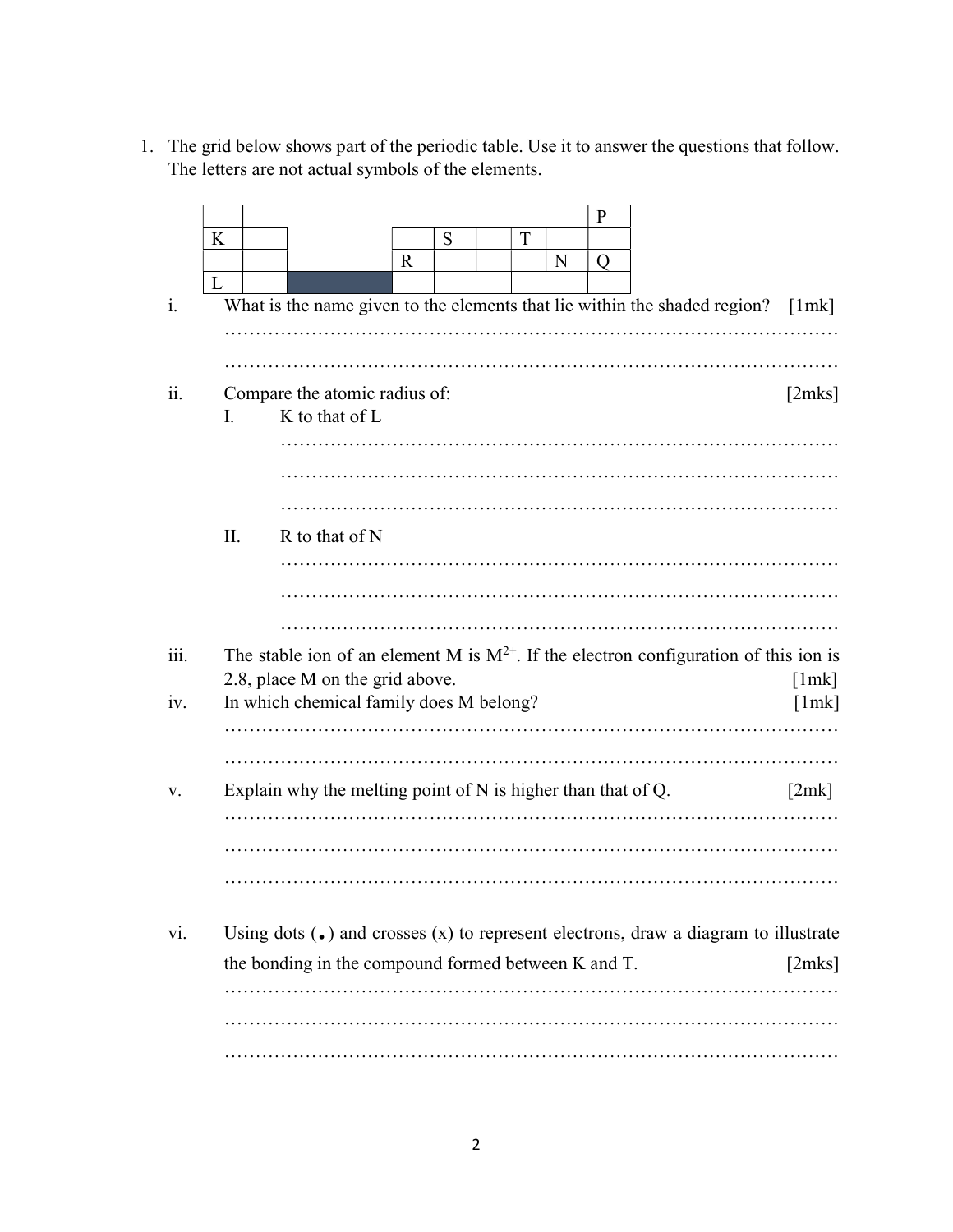1. The grid below shows part of the periodic table. Use it to answer the questions that follow. The letters are not actual symbols of the elements.

|                |     |                                                                                                                              |              |   |   |   | $\mathbf{P}$ |   |        |
|----------------|-----|------------------------------------------------------------------------------------------------------------------------------|--------------|---|---|---|--------------|---|--------|
|                | K   |                                                                                                                              |              | S | T |   |              |   |        |
|                |     |                                                                                                                              | $\mathbb{R}$ |   |   | N | Q            |   |        |
| $\mathbf{1}$ . | L   | What is the name given to the elements that lie within the shaded region?                                                    |              |   |   |   |              |   | [1mk]  |
|                |     |                                                                                                                              |              |   |   |   |              |   |        |
|                |     |                                                                                                                              |              |   |   |   |              |   |        |
|                |     |                                                                                                                              |              |   |   |   |              |   |        |
| 11.            |     | Compare the atomic radius of:<br>K to that of L                                                                              |              |   |   |   |              |   | [2mks] |
|                | I.  |                                                                                                                              |              |   |   |   |              |   |        |
|                |     |                                                                                                                              |              |   |   |   |              |   |        |
|                |     |                                                                                                                              |              |   |   |   |              |   |        |
|                |     |                                                                                                                              |              |   |   |   |              |   |        |
|                | II. | R to that of N                                                                                                               |              |   |   |   |              |   |        |
|                |     |                                                                                                                              |              |   |   |   |              |   |        |
|                |     |                                                                                                                              |              |   |   |   |              |   |        |
|                |     |                                                                                                                              |              |   |   |   |              |   |        |
|                |     |                                                                                                                              |              |   |   |   |              |   |        |
| 111.           |     |                                                                                                                              |              |   |   |   |              |   |        |
|                |     | The stable ion of an element M is $M^{2+}$ . If the electron configuration of this ion is<br>2.8, place M on the grid above. |              |   |   |   |              |   | [1mk]  |
| iv.            |     | In which chemical family does M belong?                                                                                      |              |   |   |   |              |   | [1mk]  |
|                |     |                                                                                                                              |              |   |   |   |              |   |        |
|                |     |                                                                                                                              |              |   |   |   |              | . |        |
| v.             |     | Explain why the melting point of $N$ is higher than that of $Q$ .                                                            |              |   |   |   |              |   | [2mk]  |
|                |     |                                                                                                                              |              |   |   |   |              |   |        |
|                |     |                                                                                                                              |              |   |   |   |              |   |        |
|                |     |                                                                                                                              |              |   |   |   |              |   |        |
|                |     |                                                                                                                              |              |   |   |   |              |   |        |
|                |     |                                                                                                                              |              |   |   |   |              |   |        |
| vi.            |     | Using dots $\left(\bullet\right)$ and crosses $(x)$ to represent electrons, draw a diagram to illustrate                     |              |   |   |   |              |   |        |
|                |     | the bonding in the compound formed between K and T.                                                                          |              |   |   |   |              |   | [2mks] |
|                |     |                                                                                                                              |              |   |   |   |              |   |        |
|                |     |                                                                                                                              |              |   |   |   |              |   |        |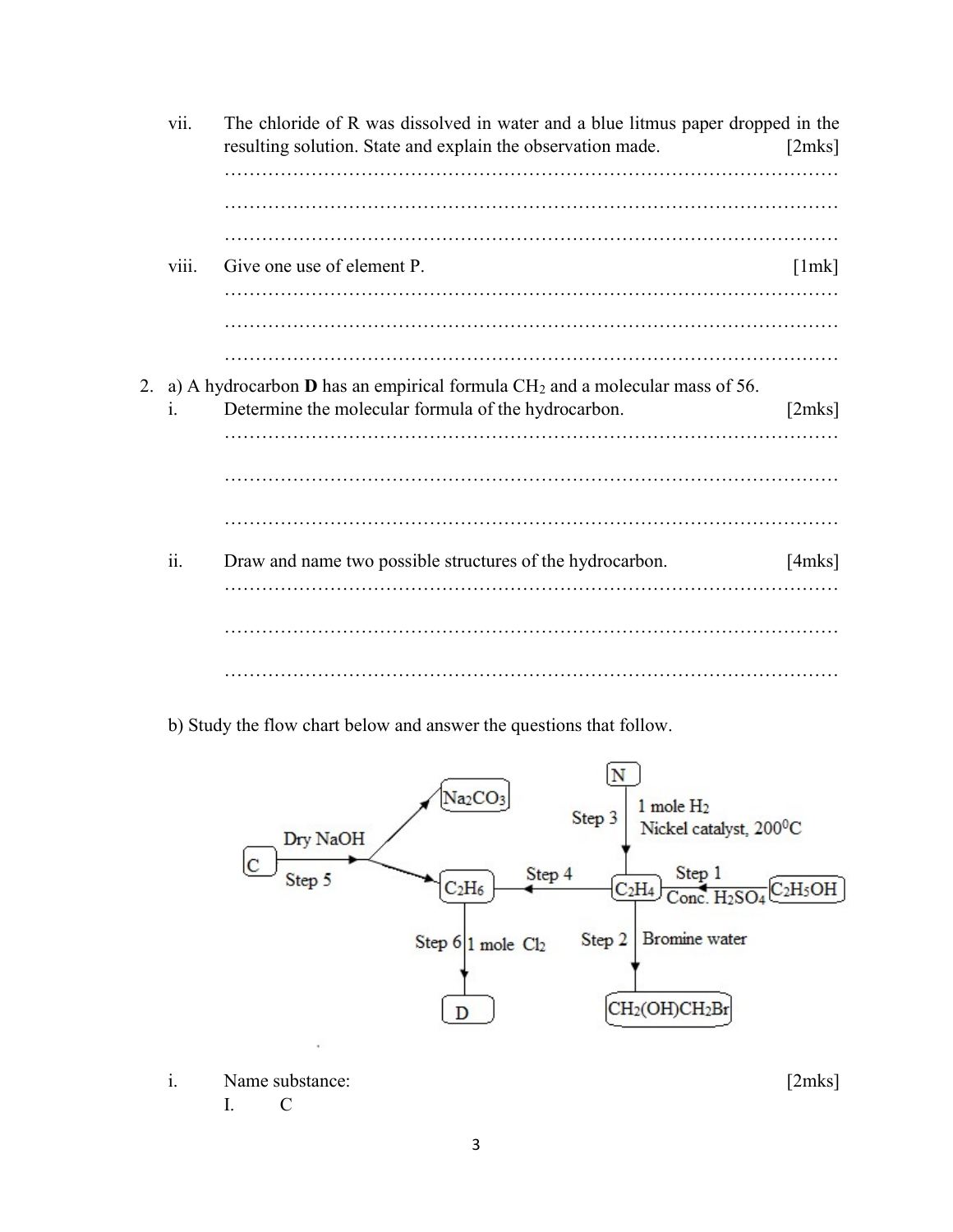| vii.  | The chloride of R was dissolved in water and a blue litmus paper dropped in the<br>resulting solution. State and explain the observation made. | [2mks] |
|-------|------------------------------------------------------------------------------------------------------------------------------------------------|--------|
|       |                                                                                                                                                |        |
|       |                                                                                                                                                |        |
| viii. | Give one use of element P.                                                                                                                     | [1mk]  |
|       |                                                                                                                                                |        |
|       | 2. a) A hydrocarbon <b>D</b> has an empirical formula $CH_2$ and a molecular mass of 56.                                                       |        |
| 1.    | Determine the molecular formula of the hydrocarbon.                                                                                            | [2mks] |
|       |                                                                                                                                                |        |
|       |                                                                                                                                                |        |
| ii.   | Draw and name two possible structures of the hydrocarbon.                                                                                      | [4mks] |
|       |                                                                                                                                                |        |
|       |                                                                                                                                                |        |

b) Study the flow chart below and answer the questions that follow.



i. Name substance: [2mks] I. C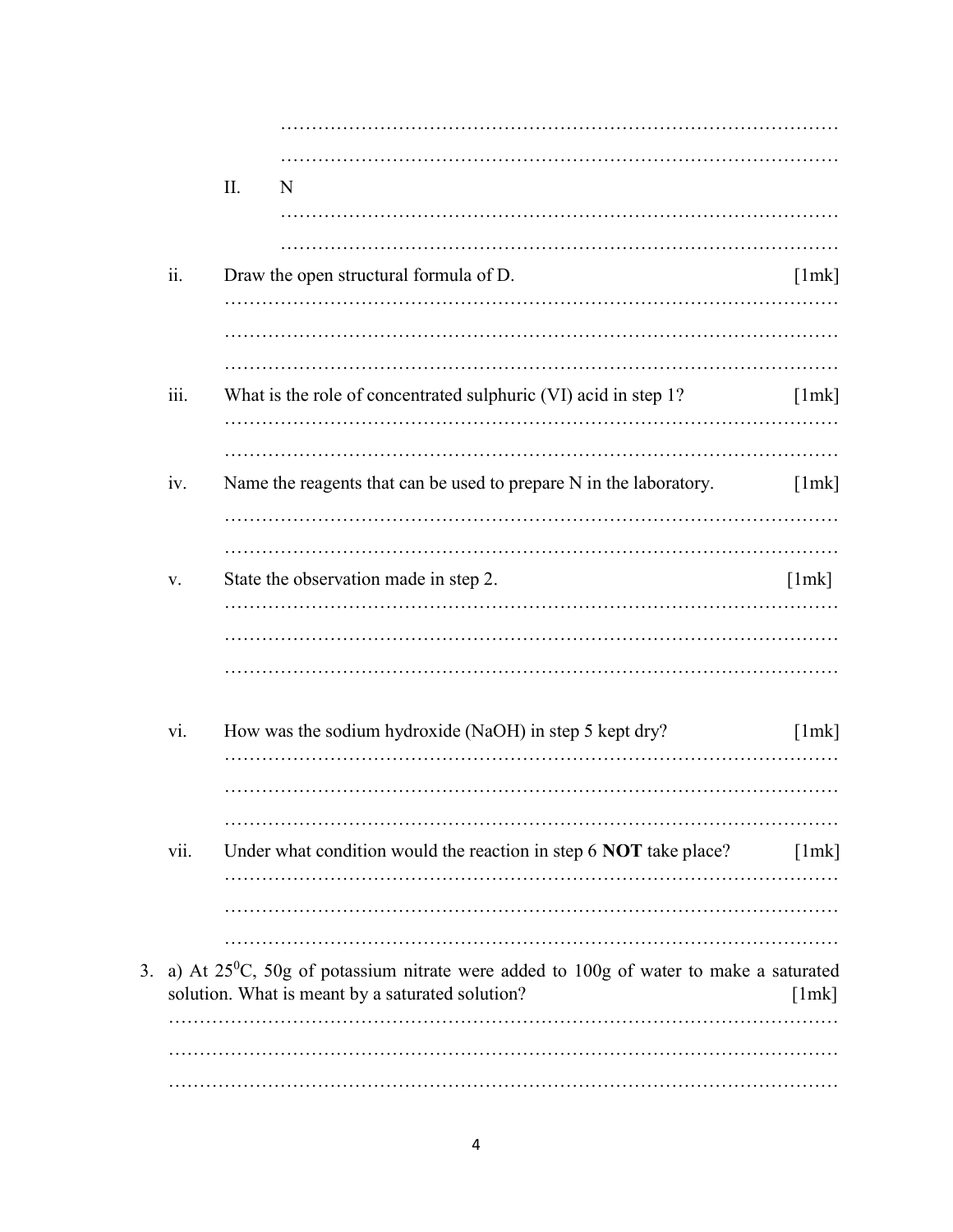|    |      | II. | N                                                                                                                                            |       |
|----|------|-----|----------------------------------------------------------------------------------------------------------------------------------------------|-------|
|    |      |     |                                                                                                                                              |       |
|    |      |     |                                                                                                                                              |       |
|    | ii.  |     | Draw the open structural formula of D.                                                                                                       | [1mk] |
|    |      |     |                                                                                                                                              |       |
|    |      |     |                                                                                                                                              |       |
|    | iii. |     | What is the role of concentrated sulphuric (VI) acid in step 1?                                                                              | [1mk] |
|    |      |     |                                                                                                                                              |       |
|    | iv.  |     | Name the reagents that can be used to prepare N in the laboratory.                                                                           | [1mk] |
|    |      |     |                                                                                                                                              |       |
|    |      |     |                                                                                                                                              |       |
|    | V.   |     | State the observation made in step 2.                                                                                                        | [1mk] |
|    |      |     |                                                                                                                                              |       |
|    |      |     |                                                                                                                                              |       |
|    |      |     |                                                                                                                                              |       |
|    | vi.  |     | How was the sodium hydroxide (NaOH) in step 5 kept dry?                                                                                      | [1mk] |
|    |      |     |                                                                                                                                              |       |
|    |      |     |                                                                                                                                              |       |
|    | vii. |     | Under what condition would the reaction in step 6 NOT take place?                                                                            | [1mk] |
|    |      |     |                                                                                                                                              |       |
|    |      |     |                                                                                                                                              |       |
| 3. |      |     | a) At $25^0$ C, 50g of potassium nitrate were added to 100g of water to make a saturated<br>solution. What is meant by a saturated solution? | [1mk] |
|    |      |     |                                                                                                                                              |       |
|    |      |     |                                                                                                                                              |       |
|    |      |     |                                                                                                                                              |       |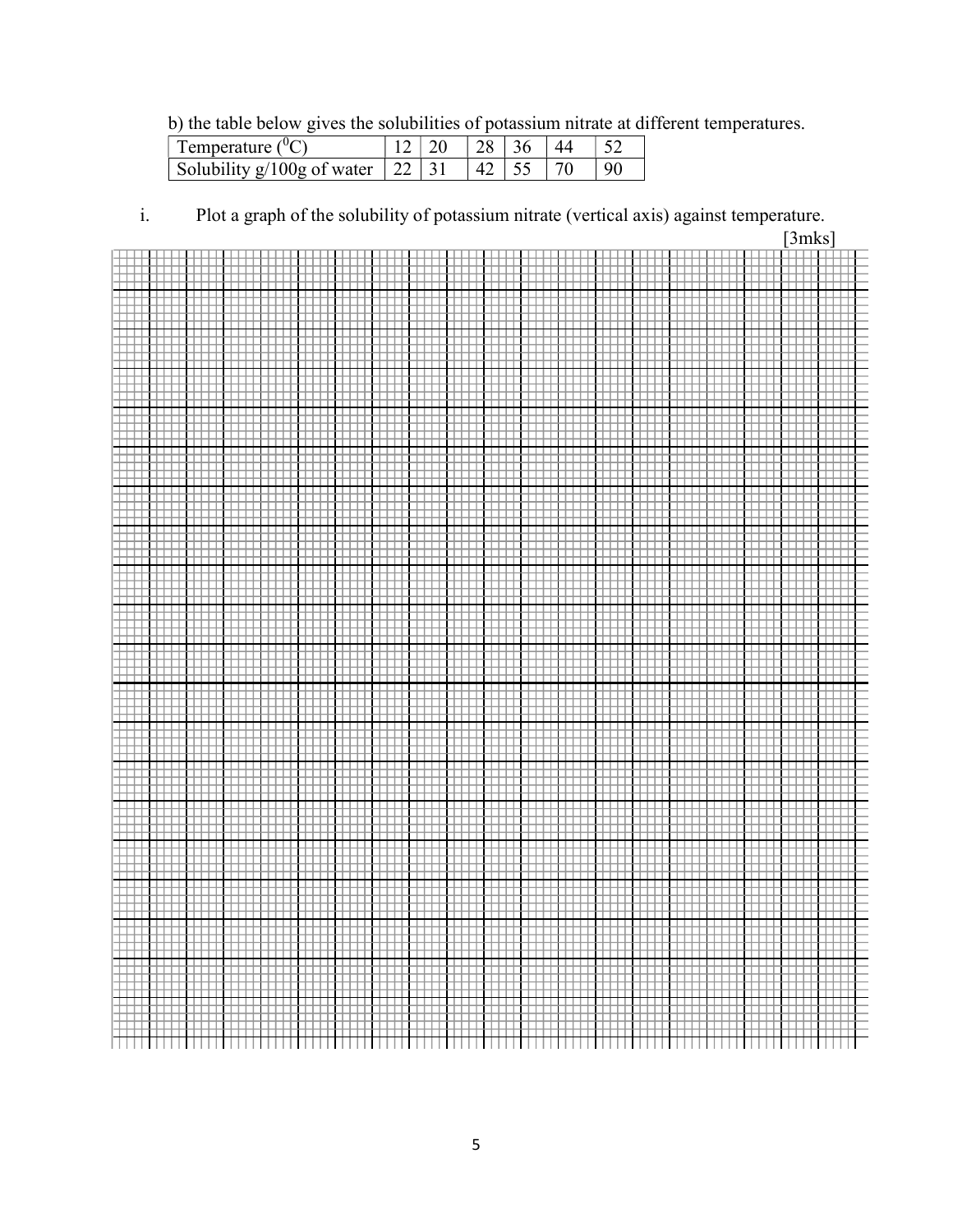b) the table below gives the solubilities of potassium nitrate at different temperatures.

| <sup><math>\perp</math></sup> Temperature ( <sup>0</sup> C) |  | $\frac{10}{128}$   36   - |  |
|-------------------------------------------------------------|--|---------------------------|--|
| Solubility $g/100g$ of water $\vert$ 22 $\vert$ 31          |  | $142$ 55 $170$            |  |

i. Plot a graph of the solubility of potassium nitrate (vertical axis) against temperature.

|        | [3mks]        |
|--------|---------------|
|        |               |
|        |               |
|        |               |
|        |               |
|        |               |
|        |               |
|        |               |
|        |               |
|        |               |
|        |               |
|        |               |
|        |               |
|        |               |
|        |               |
|        |               |
|        |               |
|        |               |
|        |               |
|        |               |
|        |               |
|        |               |
|        |               |
|        |               |
|        |               |
|        |               |
|        |               |
|        |               |
|        |               |
|        |               |
|        |               |
|        |               |
|        |               |
|        |               |
|        |               |
|        |               |
|        |               |
|        |               |
|        |               |
|        |               |
|        |               |
|        |               |
|        |               |
|        |               |
|        |               |
|        |               |
|        |               |
|        |               |
|        | $\frac{1}{2}$ |
| ∰<br>⊞ | ₩             |
|        |               |
|        |               |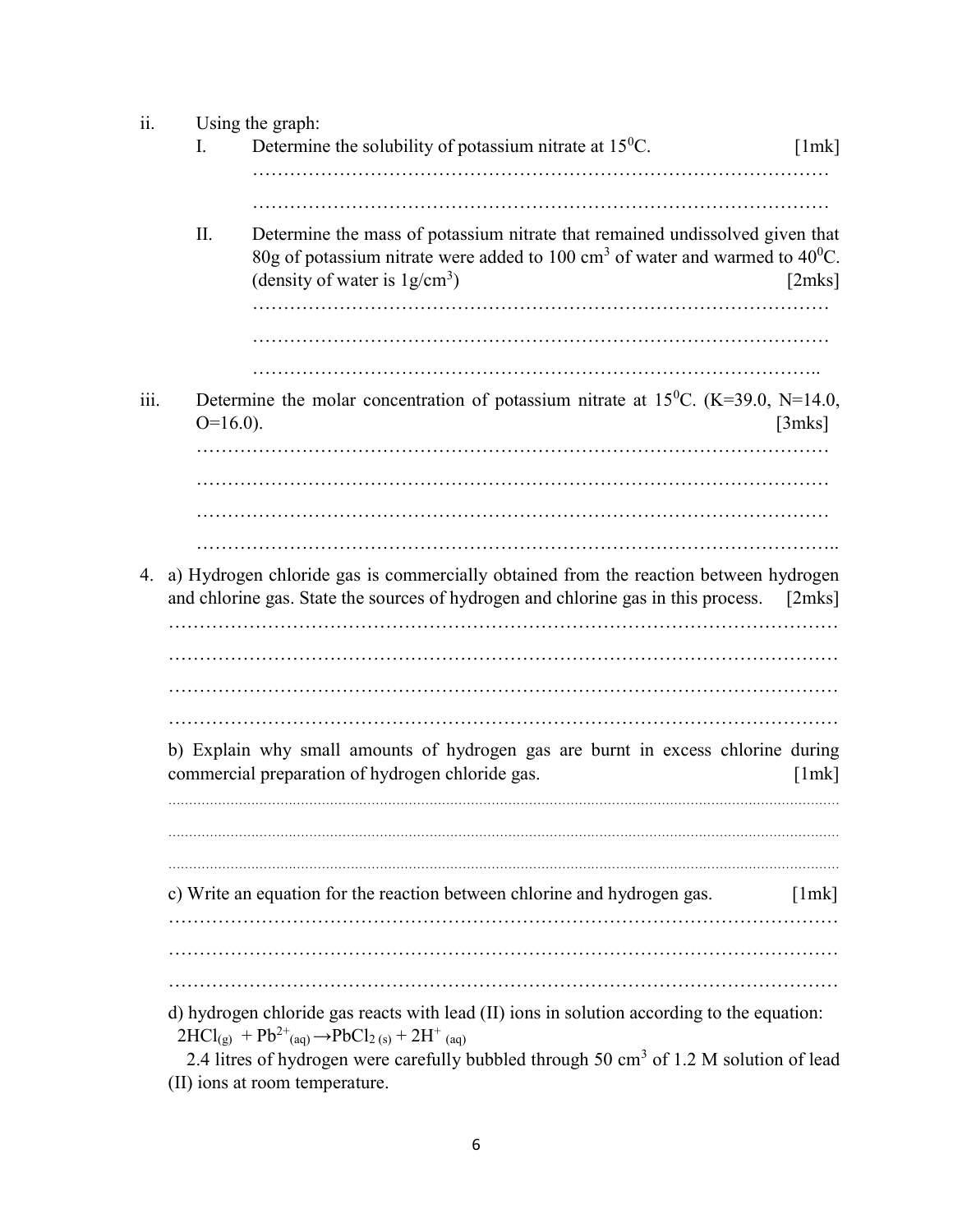| 11.  | Using the graph: |                                                                                                    |        |  |  |  |  |
|------|------------------|----------------------------------------------------------------------------------------------------|--------|--|--|--|--|
|      | Ι.               | Determine the solubility of potassium nitrate at $15^{\circ}$ C.                                   | [1mk]  |  |  |  |  |
|      |                  |                                                                                                    |        |  |  |  |  |
|      |                  |                                                                                                    |        |  |  |  |  |
|      |                  |                                                                                                    |        |  |  |  |  |
|      | Π.               | Determine the mass of potassium nitrate that remained undissolved given that                       |        |  |  |  |  |
|      |                  | 80g of potassium nitrate were added to 100 cm <sup>3</sup> of water and warmed to $40^{\circ}$ C.  |        |  |  |  |  |
|      |                  | (density of water is $1g/cm^3$ )                                                                   | [2mks] |  |  |  |  |
|      |                  |                                                                                                    |        |  |  |  |  |
|      |                  |                                                                                                    |        |  |  |  |  |
|      |                  |                                                                                                    |        |  |  |  |  |
|      |                  |                                                                                                    |        |  |  |  |  |
| 111. |                  | Determine the molar concentration of potassium nitrate at 15 <sup>0</sup> C. (K=39.0, N=14.0,      |        |  |  |  |  |
|      | $O=16.0$ ).      |                                                                                                    | [3mks] |  |  |  |  |
|      |                  |                                                                                                    |        |  |  |  |  |
|      |                  |                                                                                                    |        |  |  |  |  |
|      |                  |                                                                                                    |        |  |  |  |  |
|      |                  |                                                                                                    |        |  |  |  |  |
|      |                  |                                                                                                    |        |  |  |  |  |
|      |                  |                                                                                                    |        |  |  |  |  |
| 4.   |                  | a) Hydrogen chloride gas is commercially obtained from the reaction between hydrogen               |        |  |  |  |  |
|      |                  | and chlorine gas. State the sources of hydrogen and chlorine gas in this process. [2mks]           |        |  |  |  |  |
|      |                  |                                                                                                    |        |  |  |  |  |
|      |                  |                                                                                                    |        |  |  |  |  |
|      |                  |                                                                                                    |        |  |  |  |  |
|      |                  |                                                                                                    |        |  |  |  |  |
|      |                  |                                                                                                    |        |  |  |  |  |
|      |                  | b) Explain why small amounts of hydrogen gas are burnt in excess chlorine during                   |        |  |  |  |  |
|      |                  | commercial preparation of hydrogen chloride gas.                                                   |        |  |  |  |  |
|      |                  |                                                                                                    | [1mk]  |  |  |  |  |
|      |                  |                                                                                                    |        |  |  |  |  |
|      |                  |                                                                                                    |        |  |  |  |  |
|      |                  |                                                                                                    |        |  |  |  |  |
|      |                  |                                                                                                    |        |  |  |  |  |
|      |                  | c) Write an equation for the reaction between chlorine and hydrogen gas.                           | [1mk]  |  |  |  |  |
|      |                  |                                                                                                    |        |  |  |  |  |
|      |                  |                                                                                                    |        |  |  |  |  |
|      |                  |                                                                                                    |        |  |  |  |  |
|      |                  |                                                                                                    |        |  |  |  |  |
|      |                  | d) hydrogen chloride gas reacts with lead (II) ions in solution according to the equation:         |        |  |  |  |  |
|      |                  | $2HCl_{(g)} + Pb^{2+}$ (aq) $\rightarrow PbCl_{2 (s)} + 2H^{+}$ (aq)                               |        |  |  |  |  |
|      |                  | 2.4 litres of hydrogen were carefully bubbled through 50 cm <sup>3</sup> of 1.2 M solution of lead |        |  |  |  |  |
|      |                  |                                                                                                    |        |  |  |  |  |

(II) ions at room temperature.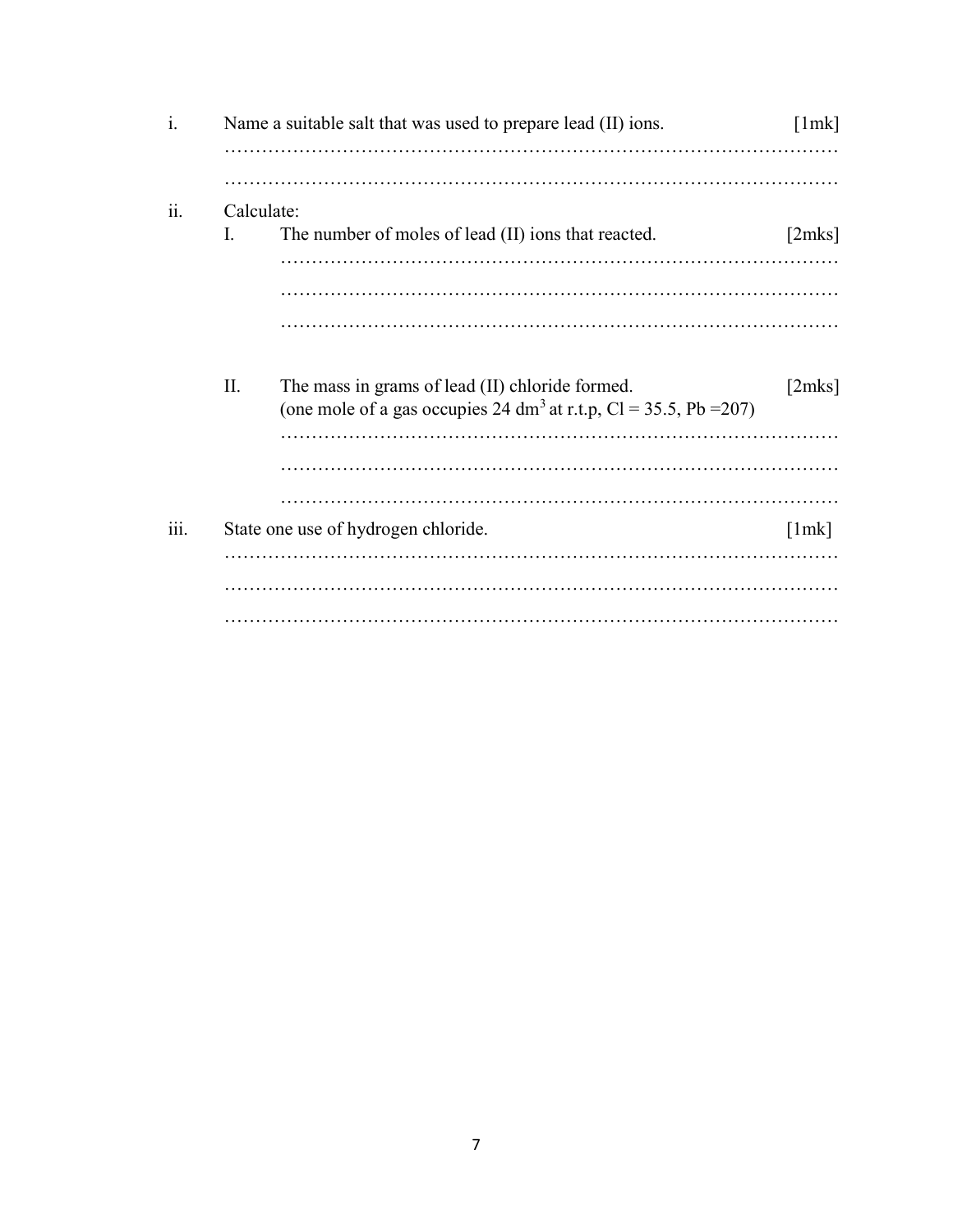| $\mathbf{1}$ . |            | Name a suitable salt that was used to prepare lead (II) ions.                                                                    | [1mk]  |
|----------------|------------|----------------------------------------------------------------------------------------------------------------------------------|--------|
|                |            |                                                                                                                                  |        |
| 11.            | Calculate: |                                                                                                                                  |        |
|                | I.         | The number of moles of lead (II) ions that reacted.                                                                              | [2mks] |
|                |            |                                                                                                                                  |        |
|                |            |                                                                                                                                  |        |
|                |            |                                                                                                                                  |        |
|                | II.        | The mass in grams of lead (II) chloride formed.<br>(one mole of a gas occupies 24 dm <sup>3</sup> at r.t.p, Cl = 35.5, Pb = 207) | [2mks] |
|                |            |                                                                                                                                  |        |
|                |            |                                                                                                                                  |        |
| 111.           |            | State one use of hydrogen chloride.                                                                                              | [1mk]  |
|                |            |                                                                                                                                  |        |
|                |            |                                                                                                                                  |        |
|                |            |                                                                                                                                  |        |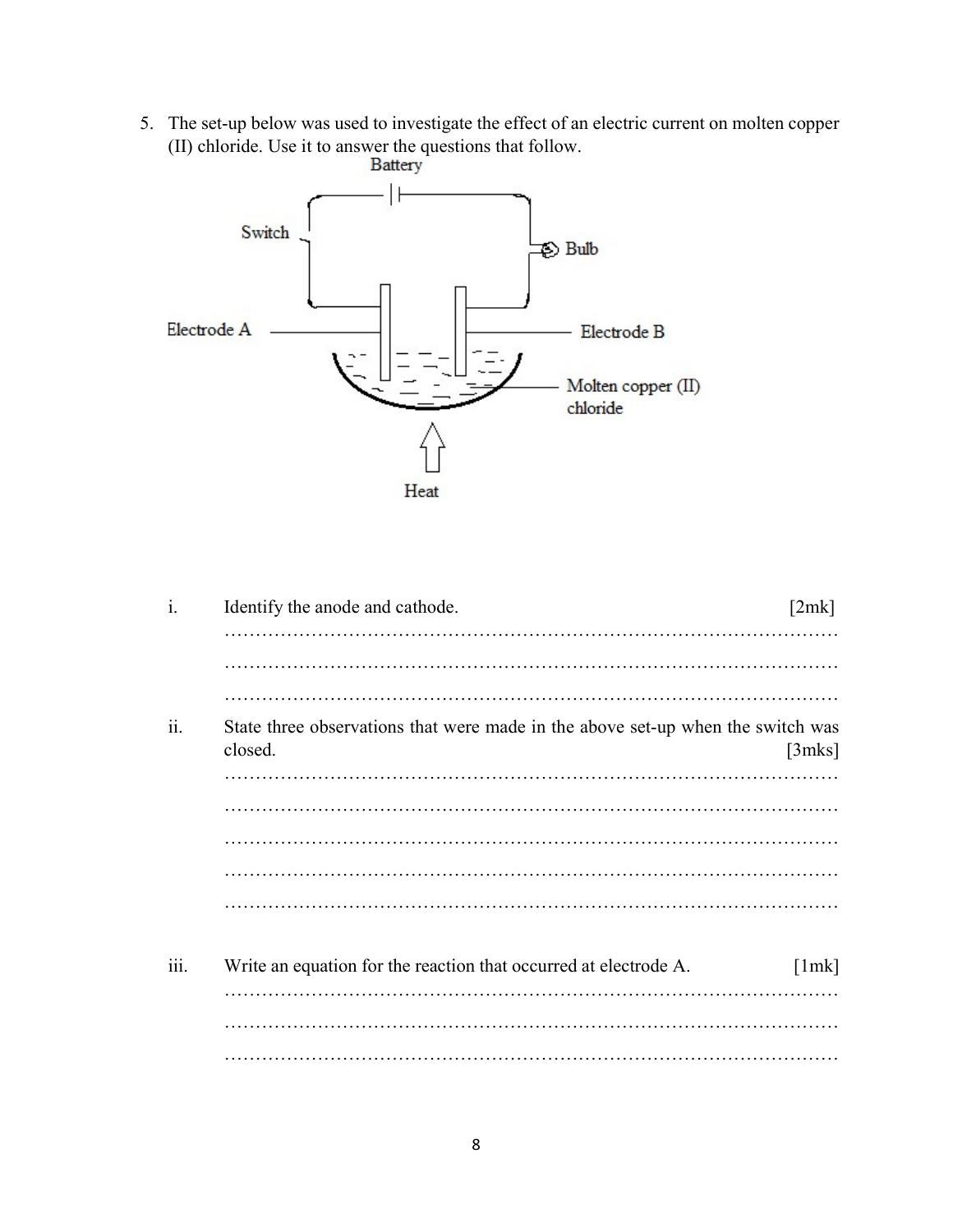5. The set-up below was used to investigate the effect of an electric current on molten copper (II) chloride. Use it to answer the questions that follow.



| $\mathbf{i}$ . | Identify the anode and cathode.                                                            | [2mk]  |
|----------------|--------------------------------------------------------------------------------------------|--------|
|                |                                                                                            |        |
|                |                                                                                            |        |
|                |                                                                                            |        |
| ii.            | State three observations that were made in the above set-up when the switch was<br>closed. | [3mks] |
|                |                                                                                            |        |
|                |                                                                                            |        |
|                |                                                                                            |        |
|                |                                                                                            |        |
|                |                                                                                            |        |
|                |                                                                                            |        |
| 111.           | Write an equation for the reaction that occurred at electrode A.                           | [1mk]  |
|                |                                                                                            |        |
|                |                                                                                            |        |
|                |                                                                                            |        |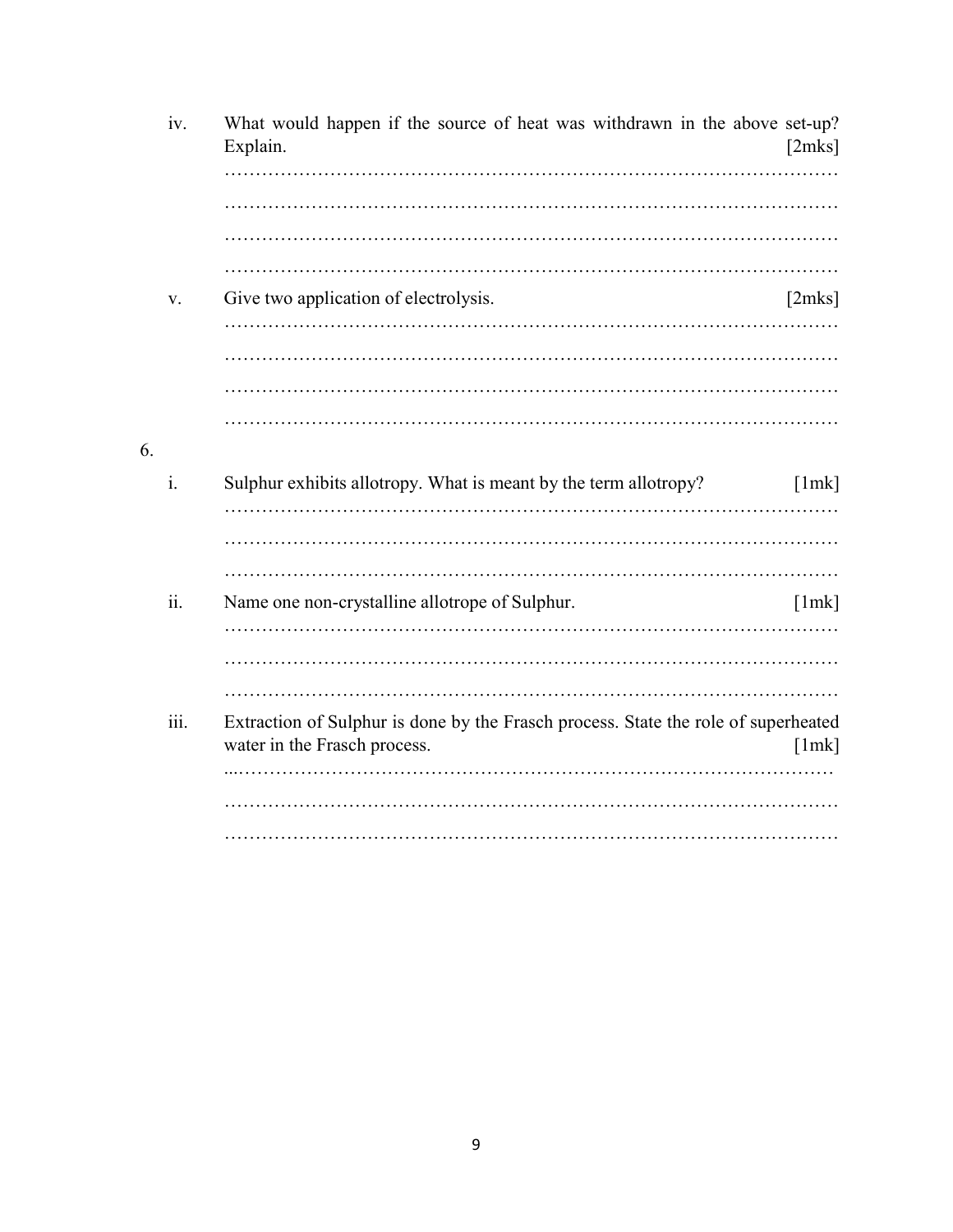|    | iv.  | What would happen if the source of heat was withdrawn in the above set-up?<br>Explain.                             | [2mks] |
|----|------|--------------------------------------------------------------------------------------------------------------------|--------|
|    |      |                                                                                                                    |        |
|    |      |                                                                                                                    |        |
|    |      |                                                                                                                    |        |
|    |      |                                                                                                                    |        |
|    | v.   | Give two application of electrolysis.                                                                              | [2mks] |
|    |      |                                                                                                                    |        |
|    |      |                                                                                                                    |        |
|    |      |                                                                                                                    |        |
|    |      |                                                                                                                    |        |
| 6. |      |                                                                                                                    |        |
|    | i.   | Sulphur exhibits allotropy. What is meant by the term allotropy?                                                   | [1mk]  |
|    |      |                                                                                                                    |        |
|    |      |                                                                                                                    |        |
|    |      |                                                                                                                    |        |
|    | ii.  | Name one non-crystalline allotrope of Sulphur.                                                                     | [1mk]  |
|    |      |                                                                                                                    |        |
|    |      |                                                                                                                    |        |
|    |      |                                                                                                                    |        |
|    | iii. | Extraction of Sulphur is done by the Frasch process. State the role of superheated<br>water in the Frasch process. | [1mk]  |
|    |      |                                                                                                                    |        |
|    |      |                                                                                                                    |        |
|    |      |                                                                                                                    |        |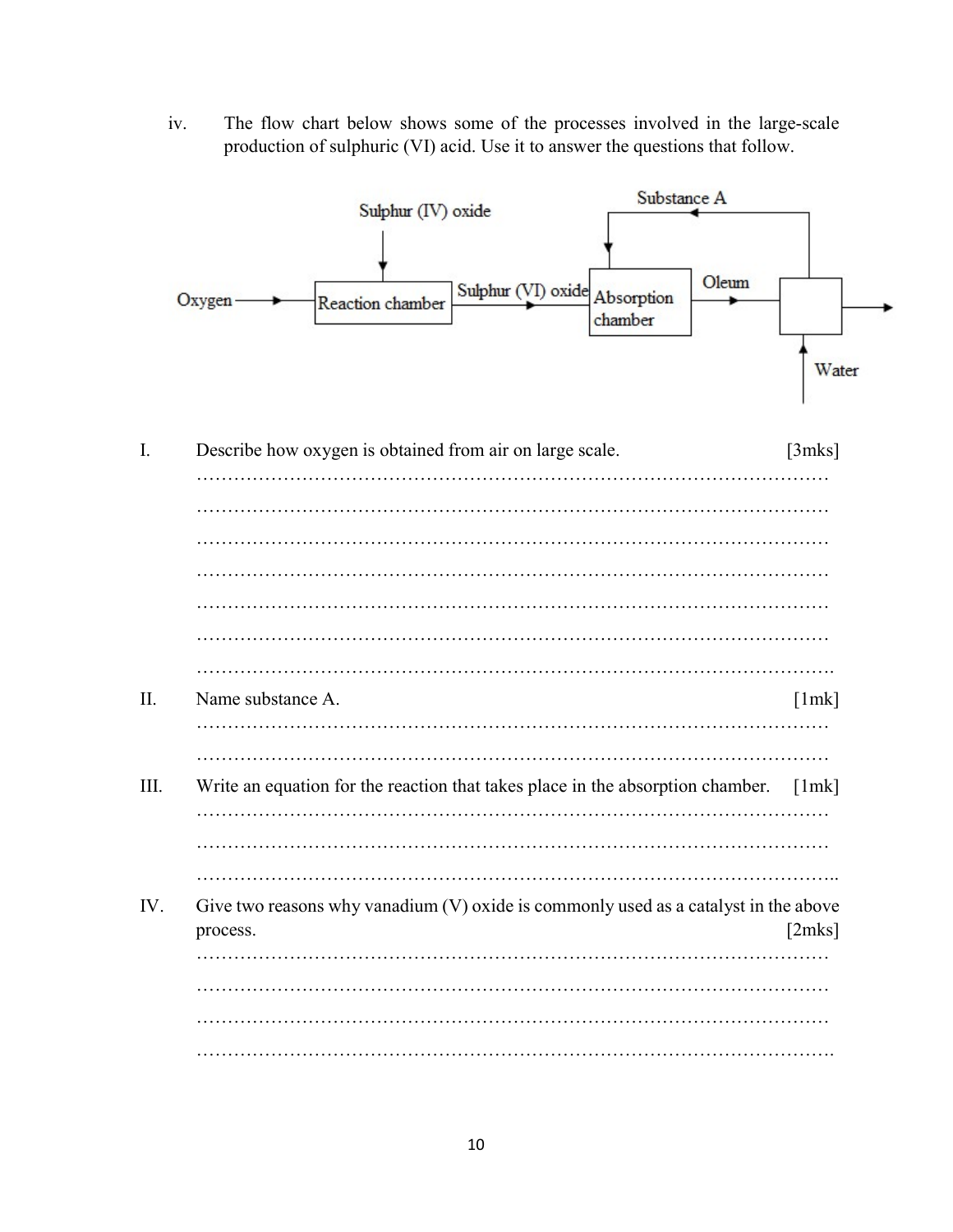iv. The flow chart below shows some of the processes involved in the large-scale production of sulphuric (VI) acid. Use it to answer the questions that follow.

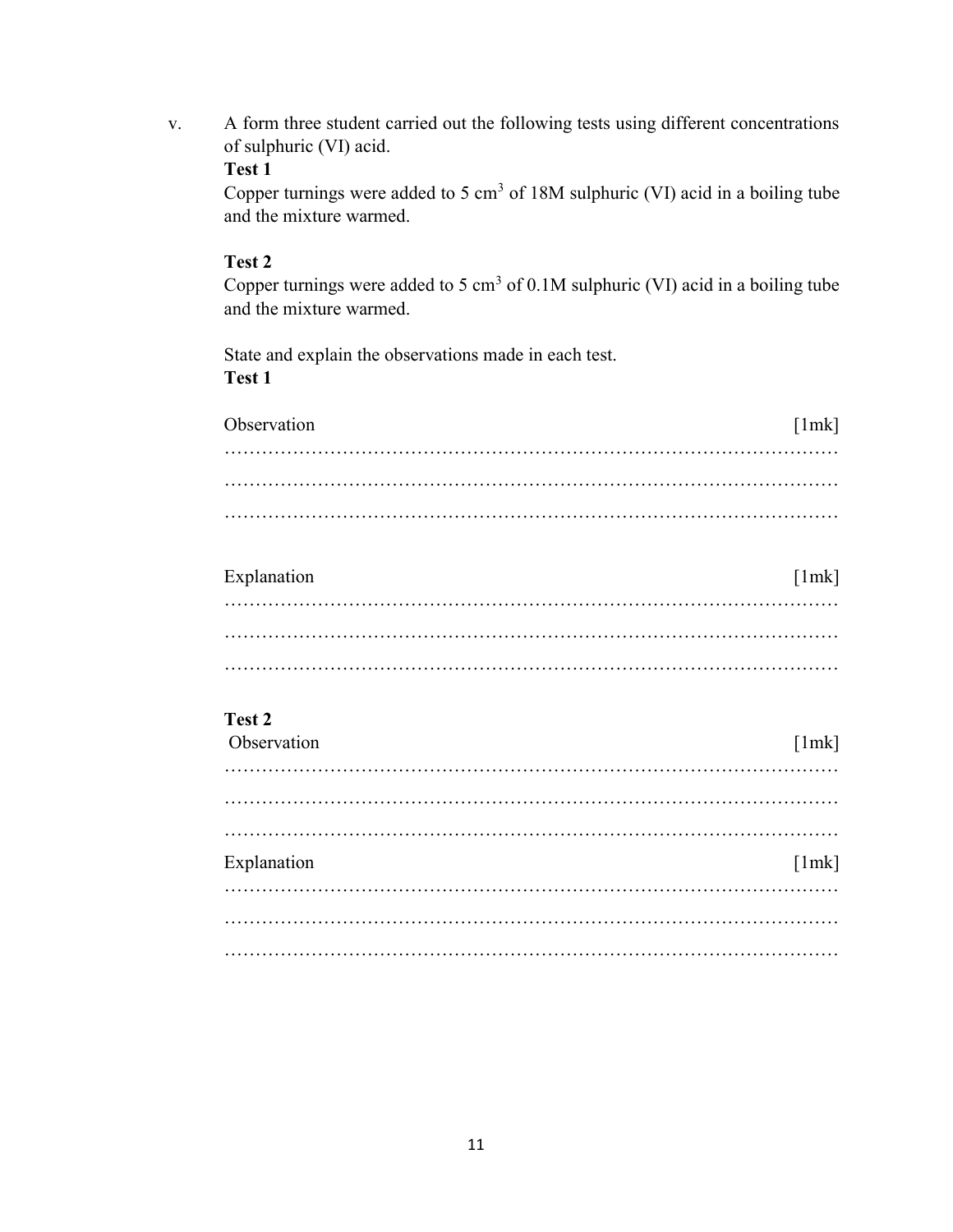v. A form three student carried out the following tests using different concentrations of sulphuric (VI) acid.

## Test 1

Copper turnings were added to 5  $cm<sup>3</sup>$  of 18M sulphuric (VI) acid in a boiling tube and the mixture warmed.

## Test 2

Copper turnings were added to 5 cm<sup>3</sup> of 0.1M sulphuric (VI) acid in a boiling tube and the mixture warmed.

State and explain the observations made in each test. Test 1

| Observation | [1mk] |
|-------------|-------|
|             |       |
|             |       |
|             |       |

| Explanation | [1mk] |
|-------------|-------|
|             |       |
|             |       |
|             |       |

## Test 2

| Observation | [1mk] |
|-------------|-------|
|             |       |
|             |       |
|             |       |
| Explanation | [1mk] |
|             |       |
|             |       |
|             |       |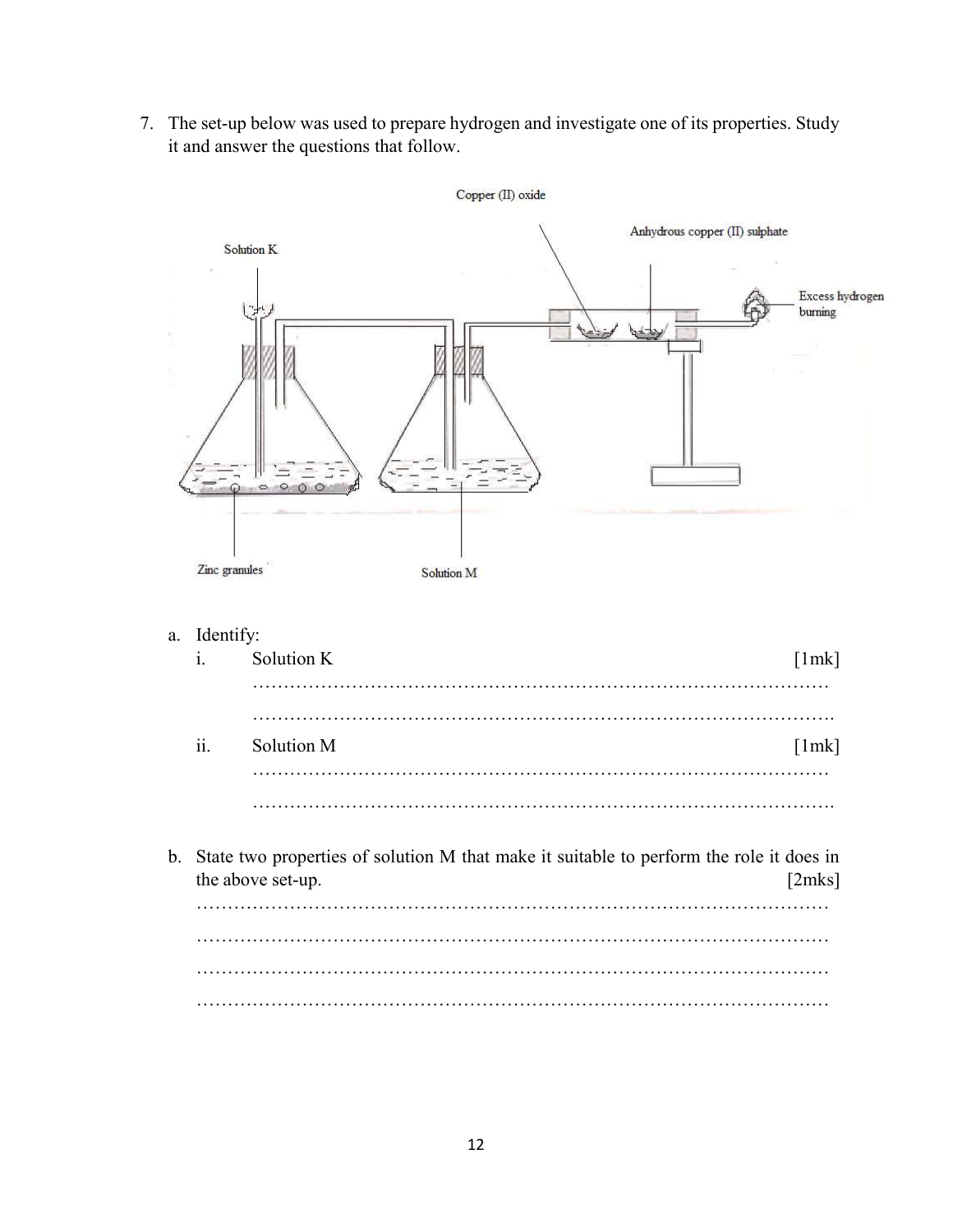7. The set-up below was used to prepare hydrogen and investigate one of its properties. Study it and answer the questions that follow.



a. Identify:

| $\mathbf{i}$        | Solution K | [1mk] |
|---------------------|------------|-------|
|                     |            |       |
|                     |            |       |
| $\ddot{\mathbf{i}}$ | Solution M | [1mk] |
|                     |            |       |
|                     |            |       |

b. State two properties of solution M that make it suitable to perform the role it does in the above set-up. [2mks] ………………………………………………………………………………………… ………………………………………………………………………………………… ………………………………………………………………………………………… …………………………………………………………………………………………

12